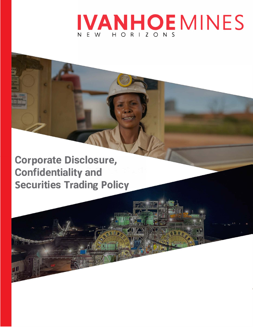# **IVANHOEMINES**  N EW HORIZONS

**Corporate Disclosure, Confidentiality and Securities Trading Policy**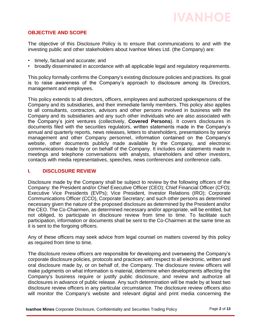## **OBJECTIVE AND SCOPE**

The objective of this Disclosure Policy is to ensure that communications to and with the investing public and other stakeholders about Ivanhoe Mines Ltd. (the Company) are:

- timely, factual and accurate; and
- broadly disseminated in accordance with all applicable legal and regulatory requirements.

This policy formally confirms the Company's existing disclosure policies and practices. Its goal is to raise awareness of the Company's approach to disclosure among its Directors, management and employees.

This policy extends to all directors, officers, employees and authorized spokespersons of the Company and its subsidiaries, and their immediate family members. This policy also applies to all consultants, contractors, advisors and other persons involved in business with the Company and its subsidiaries and any such other individuals who are also associated with the Company's joint ventures (collectively, **Covered Persons**). It covers disclosures in documents filed with the securities regulators, written statements made in the Company's annual and quarterly reports, news releases, letters to shareholders, presentations by senior management and other Company personnel, information contained on the Company's website, other documents publicly made available by the Company, and electronic communications made by or on behalf of the Company. It includes oral statements made in meetings and telephone conversations with analysts, shareholders and other investors, contacts with media representatives, speeches, news conferences and conference calls.

## **I. DISCLOSURE REVIEW**

Disclosure made by the Company shall be subject to review by the following officers of the Company: the President and/or Chief Executive Officer (CEO); Chief Financial Officer (CFO); Executive Vice Presidents (EVPs); Vice President, Investor Relations (IRO); Corporate Communications Officer (CCO), Corporate Secretary; and such other persons as determined necessary given the nature of the proposed disclosure as determined by the President and/or the CEO. The Co-Chairmen, as determined necessary and/or appropriate, will be entitled, but not obliged, to participate in disclosure review from time to time. To facilitate such participation, information or documents shall be sent to the Co-Chairmen at the same time as it is sent to the forgoing officers.

Any of these officers may seek advice from legal counsel on matters covered by this policy as required from time to time.

The disclosure review officers are responsible for developing and overseeing the Company's corporate disclosure policies, protocols and practices with respect to all electronic, written and oral disclosure made by, or on behalf of, the Company. The disclosure review officers will make judgments on what information is material, determine when developments affecting the Company's business require or justify public disclosure, and review and authorize all disclosures in advance of public release. Any such determination will be made by at least two disclosure review officers in any particular circumstance. The disclosure review officers also will monitor the Company's website and relevant digital and print media concerning the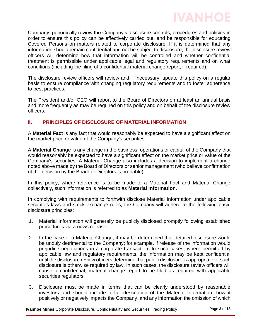

Company, periodically review the Company's disclosure controls, procedures and policies in order to ensure this policy can be effectively carried out, and be responsible for educating Covered Persons on matters related to corporate disclosure. If it is determined that any information should remain confidential and not be subject to disclosure, the disclosure review officers will determine how that information will be controlled and whether confidential treatment is permissible under applicable legal and regulatory requirements and on what conditions (including the filing of a confidential material change report, if required).

The disclosure review officers will review and, if necessary, update this policy on a regular basis to ensure compliance with changing regulatory requirements and to foster adherence to best practices.

The President and/or CEO will report to the Board of Directors on at least an annual basis and more frequently as may be required on this policy and on behalf of the disclosure review officers.

### **II. PRINCIPLES OF DISCLOSURE OF MATERIAL INFORMATION**

A **Material Fact** is any fact that would reasonably be expected to have a significant effect on the market price or value of the Company's securities.

A **Material Change** is any change in the business, operations or capital of the Company that would reasonably be expected to have a significant effect on the market price or value of the Company's securities. A Material Change also includes a decision to implement a change noted above made by the Board of Directors or senior management (who believe confirmation of the decision by the Board of Directors is probable).

In this policy, where reference is to be made to a Material Fact and Material Change collectively, such information is referred to as **Material Information**.

In complying with requirements to forthwith disclose Material Information under applicable securities laws and stock exchange rules, the Company will adhere to the following basic disclosure principles:

- 1. Material Information will generally be publicly disclosed promptly following established procedures via a news release.
- 2. In the case of a Material Change, it may be determined that detailed disclosure would be unduly detrimental to the Company; for example, if release of the information would prejudice negotiations in a corporate transaction. In such cases, where permitted by applicable law and regulatory requirements, the information may be kept confidential until the disclosure review officers determine that public disclosure is appropriate or such disclosure is otherwise required by law. In such cases, the disclosure review officers will cause a confidential, material change report to be filed as required with applicable securities regulators.
- 3. Disclosure must be made in terms that can be clearly understood by reasonable investors and should include a full description of the Material Information, how it positively or negatively impacts the Company, and any information the omission of which

**Ivanhoe Mines** Corporate Disclosure, Confidentiality and Securities Trading Policy Page 3 of 13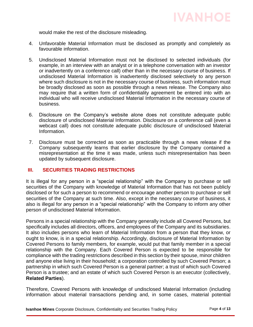would make the rest of the disclosure misleading.

- 4. Unfavorable Material Information must be disclosed as promptly and completely as favourable information.
- 5. Undisclosed Material Information must not be disclosed to selected individuals (for example, in an interview with an analyst or in a telephone conversation with an investor or inadvertently on a conference call) other than in the necessary course of business. If undisclosed Material Information is inadvertently disclosed selectively to any person where such disclosure is not in the necessary course of business, such information must be broadly disclosed as soon as possible through a news release. The Company also may require that a written form of confidentiality agreement be entered into with an individual who will receive undisclosed Material Information in the necessary course of business.
- 6. Disclosure on the Company's website alone does not constitute adequate public disclosure of undisclosed Material Information. Disclosure on a conference call (even a webcast call) does not constitute adequate public disclosure of undisclosed Material Information.
- 7. Disclosure must be corrected as soon as practicable through a news release if the Company subsequently learns that earlier disclosure by the Company contained a misrepresentation at the time it was made, unless such misrepresentation has been updated by subsequent disclosure.

# **III. SECURITIES TRADING RESTRICTIONS**

It is illegal for any person in a "special relationship" with the Company to purchase or sell securities of the Company with knowledge of Material Information that has not been publicly disclosed or for such a person to recommend or encourage another person to purchase or sell securities of the Company at such time. Also, except in the necessary course of business, it also is illegal for any person in a "special relationship" with the Company to inform any other person of undisclosed Material Information.

Persons in a special relationship with the Company generally include all Covered Persons, but specifically includes all directors, officers, and employees of the Company and its subsidiaries. It also includes persons who learn of Material Information from a person that they know, or ought to know, is in a special relationship. Accordingly, disclosure of Material Information by Covered Persons to family members, for example, would put that family member in a special relationship with the Company. Each Covered Person is expected to be responsible for compliance with the trading restrictions described in this section by their spouse, minor children and anyone else living in their household; a corporation controlled by such Covered Person; a partnership in which such Covered Person is a general partner; a trust of which such Covered Person is a trustee; and an estate of which such Covered Person is an executor (collectively, **Related Parties**).

Therefore, Covered Persons with knowledge of undisclosed Material Information (including information about material transactions pending and, in some cases, material potential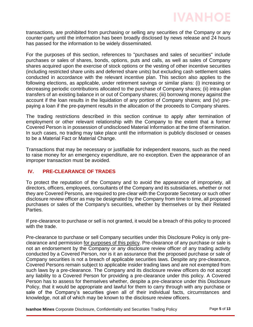transactions, are prohibited from purchasing or selling any securities of the Company or any counter-party until the information has been broadly disclosed by news release and 24 hours has passed for the information to be widely disseminated.

For the purposes of this section, references to "purchases and sales of securities" include purchases or sales of shares, bonds, options, puts and calls, as well as sales of Company shares acquired upon the exercise of stock options or the vesting of other incentive securities (including restricted share units and deferred share units) but excluding cash settlement sales conducted in accordance with the relevant incentive plan. This section also applies to the following elections, as applicable, under retirement savings or similar plans: (i) increasing or decreasing periodic contributions allocated to the purchase of Company shares; (ii) intra-plan transfers of an existing balance in or out of Company shares; (iii) borrowing money against the account if the loan results in the liquidation of any portion of Company shares; and (iv) prepaying a loan if the pre-payment results in the allocation of the proceeds to Company shares.

The trading restrictions described in this section continue to apply after termination of employment or other relevant relationship with the Company to the extent that a former Covered Person is in possession of undisclosed Material Information at the time of termination. In such cases, no trading may take place until the information is publicly disclosed or ceases to be a Material Fact or Material Change.

Transactions that may be necessary or justifiable for independent reasons, such as the need to raise money for an emergency expenditure, are no exception. Even the appearance of an improper transaction must be avoided.

# **IV. PRE-CLEARANCE OF TRADES**

To protect the reputation of the Company and to avoid the appearance of impropriety, all directors, officers, employees, consultants of the Company and its subsidiaries, whether or not they are Covered Persons, are required to pre-clear with the Corporate Secretary or such other disclosure review officer as may be designated by the Company from time to time, all proposed purchases or sales of the Company's securities, whether by themselves or by their Related Parties.

If pre-clearance to purchase or sell is not granted, it would be a breach of this policy to proceed with the trade.

Pre-clearance to purchase or sell Company securities under this Disclosure Policy is only preclearance and permission for purposes of this policy. Pre-clearance of any purchase or sale is not an endorsement by the Company or any disclosure review officer of any trading activity conducted by a Covered Person, nor is it an assurance that the proposed purchase or sale of Company securities is not a breach of applicable securities laws. Despite any pre-clearance, Covered Persons remain subject to applicable insider trading laws and are not exempted from such laws by a pre-clearance. The Company and its disclosure review officers do not accept any liability to a Covered Person for providing a pre-clearance under this policy. A Covered Person has to assess for themselves whether, despite a pre-clearance under this Disclosure Policy, that it would be appropriate and lawful for them to carry through with any purchase or sale of the Company's securities given all of their individual facts, circumstances and knowledge, not all of which may be known to the disclosure review officers.

**Ivanhoe Mines** Corporate Disclosure, Confidentiality and Securities Trading Policy Page 5 of 13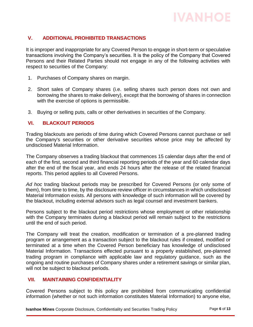## **V. ADDITIONAL PROHIBITED TRANSACTIONS**

It is improper and inappropriate for any Covered Person to engage in short-term or speculative transactions involving the Company's securities. It is the policy of the Company that Covered Persons and their Related Parties should not engage in any of the following activities with respect to securities of the Company:

- 1. Purchases of Company shares on margin.
- 2. Short sales of Company shares (i.e. selling shares such person does not own and borrowing the shares to make delivery), except that the borrowing of shares in connection with the exercise of options is permissible.
- 3. Buying or selling puts, calls or other derivatives in securities of the Company.

### **VI. BLACKOUT PERIODS**

Trading blackouts are periods of time during which Covered Persons cannot purchase or sell the Company's securities or other derivative securities whose price may be affected by undisclosed Material Information.

The Company observes a trading blackout that commences 15 calendar days after the end of each of the first, second and third financial reporting periods of the year and 60 calendar days after the end of the fiscal year, and ends 24 hours after the release of the related financial reports. This period applies to all Covered Persons.

*Ad hoc* trading blackout periods may be prescribed for Covered Persons (or only some of them), from time to time, by the disclosure review officer in circumstances in which undisclosed Material Information exists. All persons with knowledge of such information will be covered by the blackout, including external advisors such as legal counsel and investment bankers.

Persons subject to the blackout period restrictions whose employment or other relationship with the Company terminates during a blackout period will remain subject to the restrictions until the end of such period.

The Company will treat the creation, modification or termination of a pre-planned trading program or arrangement as a transaction subject to the blackout rules if created, modified or terminated at a time when the Covered Person beneficiary has knowledge of undisclosed Material Information. Transactions effected pursuant to a properly established, pre-planned trading program in compliance with applicable law and regulatory guidance, such as the ongoing and routine purchases of Company shares under a retirement savings or similar plan, will not be subject to blackout periods.

#### **VII. MAINTAINING CONFIDENTIALITY**

Covered Persons subject to this policy are prohibited from communicating confidential information (whether or not such information constitutes Material Information) to anyone else,

**Ivanhoe Mines** Corporate Disclosure, Confidentiality and Securities Trading Policy Page 6 of 13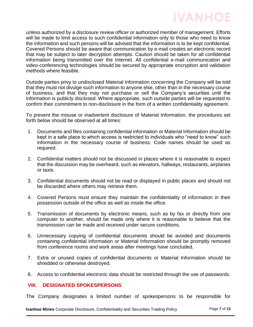

unless authorized by a disclosure review officer or authorized member of management. Efforts will be made to limit access to such confidential information only to those who need to know the information and such persons will be advised that the information is to be kept confidential. Covered Persons should be aware that communication by e-mail creates an electronic record that may be subject to later decryption attempts. Caution should be taken for all confidential information being transmitted over the Internet. All confidential e-mail communication and video-conferencing technologies should be secured by appropriate encryption and validation methods where feasible.

Outside parties privy to undisclosed Material Information concerning the Company will be told that they must not divulge such information to anyone else, other than in the necessary course of business, and that they may not purchase or sell the Company's securities until the information is publicly disclosed. Where appropriate, such outside parties will be requested to confirm their commitment to non-disclosure in the form of a written confidentiality agreement.

To prevent the misuse or inadvertent disclosure of Material Information, the procedures set forth below should be observed at all times:

- 1. Documents and files containing confidential information or Material Information should be kept in a safe place to which access is restricted to individuals who "need to know" such information in the necessary course of business. Code names should be used as required.
- 2. Confidential matters should not be discussed in places where it is reasonable to expect that the discussion may be overheard, such as elevators, hallways, restaurants, airplanes or taxis.
- 3. Confidential documents should not be read or displayed in public places and should not be discarded where others may retrieve them.
- 4. Covered Persons must ensure they maintain the confidentiality of information in their possession outside of the office as well as inside the office.
- 5. Transmission of documents by electronic means, such as by fax or directly from one computer to another, should be made only where it is reasonable to believe that the transmission can be made and received under secure conditions.
- 6. Unnecessary copying of confidential documents should be avoided and documents containing confidential information or Material Information should be promptly removed from conference rooms and work areas after meetings have concluded.
- 7. Extra or unused copies of confidential documents or Material Information should be shredded or otherwise destroyed.
- 8. Access to confidential electronic data should be restricted through the use of passwords.

### **VIII. DESIGNATED SPOKESPERSONS**

The Company designates a limited number of spokespersons to be responsible for

**Ivanhoe Mines** Corporate Disclosure, Confidentiality and Securities Trading Policy Page 7 of 13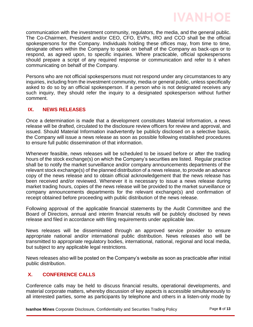communication with the investment community, regulators, the media, and the general public. The Co-Chairmen, President and/or CEO, CFO, EVPs, IRO and CCO shall be the official spokespersons for the Company. Individuals holding these offices may, from time to time, designate others within the Company to speak on behalf of the Company as back-ups or to respond, as agreed upon, to specific inquiries. Where practicable, official spokespersons should prepare a script of any required response or communication and refer to it when communicating on behalf of the Company.

Persons who are not official spokespersons must not respond under any circumstances to any inquiries, including from the investment community, media or general public, unless specifically asked to do so by an official spokesperson. If a person who is not designated receives any such inquiry, they should refer the inquiry to a designated spokesperson without further comment.

## **IX. NEWS RELEASES**

Once a determination is made that a development constitutes Material Information, a news release will be drafted, circulated to the disclosure review officers for review and approval, and issued. Should Material Information inadvertently be publicly disclosed on a selective basis, the Company will issue a news release as soon as possible following established procedures to ensure full public dissemination of that information.

Whenever feasible, news releases will be scheduled to be issued before or after the trading hours of the stock exchange(s) on which the Company's securities are listed. Regular practice shall be to notify the market surveillance and/or company announcements departments of the relevant stock exchange(s) of the planned distribution of a news release, to provide an advance copy of the news release and to obtain official acknowledgement that the news release has been received and/or reviewed. Whenever it is necessary to issue a news release during market trading hours, copies of the news release will be provided to the market surveillance or company announcements departments for the relevant exchange(s) and confirmation of receipt obtained before proceeding with public distribution of the news release.

Following approval of the applicable financial statements by the Audit Committee and the Board of Directors, annual and interim financial results will be publicly disclosed by news release and filed in accordance with filing requirements under applicable law.

News releases will be disseminated through an approved service provider to ensure appropriate national and/or international public distribution. News releases also will be transmitted to appropriate regulatory bodies, international, national, regional and local media, but subject to any applicable legal restrictions.

News releases also will be posted on the Company's website as soon as practicable after initial public distribution.

# **X. CONFERENCE CALLS**

Conference calls may be held to discuss financial results, operational developments, and material corporate matters, whereby discussion of key aspects is accessible simultaneously to all interested parties, some as participants by telephone and others in a listen-only mode by

**Ivanhoe Mines** Corporate Disclosure, Confidentiality and Securities Trading Policy Page 8 of 13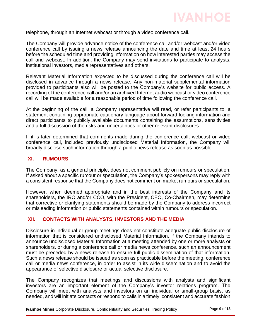

telephone, through an Internet webcast or through a video conference call.

The Company will provide advance notice of the conference call and/or webcast and/or video conference call by issuing a news release announcing the date and time at least 24 hours before the scheduled time and providing information on how interested parties may access the call and webcast. In addition, the Company may send invitations to participate to analysts, institutional investors, media representatives and others.

Relevant Material Information expected to be discussed during the conference call will be disclosed in advance through a news release. Any non-material supplemental information provided to participants also will be posted to the Company's website for public access. A recording of the conference call and/or an archived Internet audio webcast or video conference call will be made available for a reasonable period of time following the conference call.

At the beginning of the call, a Company representative will read, or refer participants to, a statement containing appropriate cautionary language about forward-looking information and direct participants to publicly available documents containing the assumptions, sensitivities and a full discussion of the risks and uncertainties or other relevant disclosures.

If it is later determined that comments made during the conference call, webcast or video conference call, included previously undisclosed Material Information, the Company will broadly disclose such information through a public news release as soon as possible.

### **XI. RUMOURS**

The Company, as a general principle, does not comment publicly on rumours or speculation. If asked about a specific rumour or speculation, the Company's spokespersons may reply with a consistent response that the Company does not comment on market rumours or speculation.

However, when deemed appropriate and in the best interests of the Company and its shareholders, the IRO and/or CCO, with the President, CEO, Co-Chairmen, may determine that corrective or clarifying statements should be made by the Company to address incorrect or misleading information or public statements contained within rumours or speculation.

#### **XII. CONTACTS WITH ANALYSTS, INVESTORS AND THE MEDIA**

Disclosure in individual or group meetings does not constitute adequate public disclosure of information that is considered undisclosed Material Information. If the Company intends to announce undisclosed Material Information at a meeting attended by one or more analysts or shareholders, or during a conference call or media news conference, such an announcement must be preceded by a news release to ensure full public dissemination of that information. Such a news release should be issued as soon as practicable before the meeting, conference call or media news conference, in order to assist in its wide dissemination and to avoid the appearance of selective disclosure or actual selective disclosure.

The Company recognizes that meetings and discussions with analysts and significant investors are an important element of the Company's investor relations program. The Company will meet with analysts and investors on an individual or small-group basis, as needed, and will initiate contacts or respond to calls in a timely, consistent and accurate fashion

**Ivanhoe Mines** Corporate Disclosure, Confidentiality and Securities Trading Policy Page 9 of 13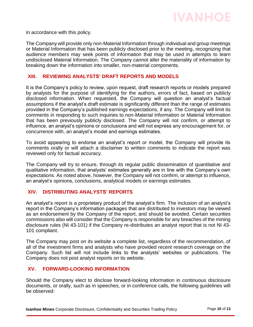in accordance with this policy.

The Company will provide only non-Material Information through individual and group meetings or Material Information that has been publicly disclosed prior to the meeting, recognizing that audience members may seek points of information that may be used in attempts to learn undisclosed Material Information. The Company cannot alter the materiality of information by breaking down the information into smaller, non-material components.

## **XIII. REVIEWING ANALYSTS' DRAFT REPORTS AND MODELS**

It is the Company's policy to review, upon request, draft research reports or models prepared by analysts for the purpose of identifying for the authors, errors of fact, based on publicly disclosed information. When requested, the Company will question an analyst's factual assumptions if the analyst's draft estimate is significantly different than the range of estimates provided in the Company's published earnings expectations, if any. The Company will limit its comments in responding to such inquiries to non-Material Information or Material Information that has been previously publicly disclosed. The Company will not confirm, or attempt to influence, an analyst's opinions or conclusions and will not express any encouragement for, or concurrence with, an analyst's model and earnings estimates.

To avoid appearing to endorse an analyst's report or model, the Company will provide its comments orally or will attach a disclaimer to written comments to indicate the report was reviewed only for factual accuracy.

The Company will try to ensure, through its regular public dissemination of quantitative and qualitative information, that analysts' estimates generally are in line with the Company's own expectations. As noted above, however, the Company will not confirm, or attempt to influence, an analyst's opinions, conclusions, analytical models or earnings estimates.

## **XIV. DISTRIBUTING ANALYSTS' REPORTS**

An analyst's report is a proprietary product of the analyst's firm. The inclusion of an analyst's report in the Company's information packages that are distributed to investors may be viewed as an endorsement by the Company of the report, and should be avoided. Certain securities commissions also will consider that the Company is responsible for any breaches of the mining disclosure rules (NI 43-101) if the Company re-distributes an analyst report that is not NI 43- 101 compliant.

The Company may post on its website a complete list, regardless of the recommendation, of all of the investment firms and analysts who have provided recent research coverage on the Company. Such list will not include links to the analysts' websites or publications. The Company does not post analyst reports on its website.

## **XV. FORWARD-LOOKING INFORMATION**

Should the Company elect to disclose forward-looking information in continuous disclosure documents, or orally, such as in speeches, or in conference calls, the following guidelines will be observed: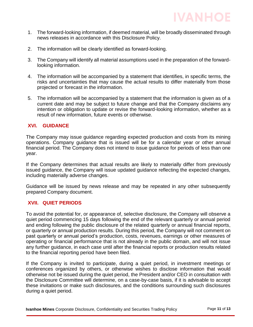

- 1. The forward-looking information, if deemed material, will be broadly disseminated through news releases in accordance with this Disclosure Policy.
- 2. The information will be clearly identified as forward-looking.
- 3. The Company will identify all material assumptions used in the preparation of the forwardlooking information.
- 4. The information will be accompanied by a statement that identifies, in specific terms, the risks and uncertainties that may cause the actual results to differ materially from those projected or forecast in the information.
- 5. The information will be accompanied by a statement that the information is given as of a current date and may be subject to future change and that the Company disclaims any intention or obligation to update or revise the forward-looking information, whether as a result of new information, future events or otherwise.

## **XVI. GUIDANCE**

The Company may issue guidance regarding expected production and costs from its mining operations. Company guidance that is issued will be for a calendar year or other annual financial period. The Company does not intend to issue guidance for periods of less than one year.

If the Company determines that actual results are likely to materially differ from previously issued guidance, the Company will issue updated guidance reflecting the expected changes, including materially adverse changes.

Guidance will be issued by news release and may be repeated in any other subsequently prepared Company document.

### **XVII. QUIET PERIODS**

To avoid the potential for, or appearance of, selective disclosure, the Company will observe a quiet period commencing 15 days following the end of the relevant quarterly or annual period and ending following the public disclosure of the related quarterly or annual financial reports, or quarterly or annual production results. During this period, the Company will not comment on past quarterly or annual period's production, costs, revenues, earnings or other measures of operating or financial performance that is not already in the public domain, and will not issue any further guidance, in each case until after the financial reports or production results related to the financial reporting period have been filed.

If the Company is invited to participate, during a quiet period, in investment meetings or conferences organized by others, or otherwise wishes to disclose information that would otherwise not be issued during the quiet period, the President and/or CEO in consultation with the Disclosure Committee will determine, on a case-by-case basis, if it is advisable to accept these invitations or make such disclosures, and the conditions surrounding such disclosures during a quiet period.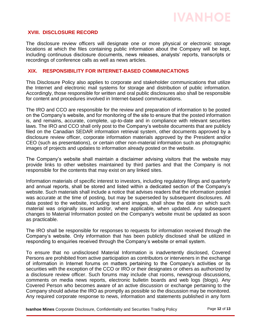### **XVIII. DISCLOSURE RECORD**

The disclosure review officers will designate one or more physical or electronic storage locations at which the files containing public information about the Company will be kept, including continuous disclosure documents, news releases, analysts' reports, transcripts or recordings of conference calls as well as news articles.

### **XIX. RESPONSIBILITY FOR INTERNET-BASED COMMUNICATIONS**

This Disclosure Policy also applies to corporate and stakeholder communications that utilize the Internet and electronic mail systems for storage and distribution of public information. Accordingly, those responsible for written and oral public disclosures also shall be responsible for content and procedures involved in Internet-based communications.

The IRO and CCO are responsible for the review and preparation of information to be posted on the Company's website, and for monitoring of the site to ensure that the posted information is, and remains, accurate, complete, up-to-date and in compliance with relevant securities laws. The IRO and CCO shall only post to the Company's website documents that are publicly filed on the Canadian SEDAR information retrieval system, other documents approved by a disclosure review officer, corporate information materials approved by the President and/or CEO (such as presentations), or certain other non-material information such as photographic images of projects and updates to information already posted on the website.

The Company's website shall maintain a disclaimer advising visitors that the website may provide links to other websites maintained by third parties and that the Company is not responsible for the contents that may exist on any linked sites.

Information materials of specific interest to investors, including regulatory filings and quarterly and annual reports, shall be stored and listed within a dedicated section of the Company's website. Such materials shall include a notice that advises readers that the information posted was accurate at the time of posting, but may be superseded by subsequent disclosures. All data posted to the website, including text and images, shall show the date on which such material was originally issued and/or, where applicable, when updated. Any subsequent changes to Material Information posted on the Company's website must be updated as soon as practicable.

The IRO shall be responsible for responses to requests for information received through the Company's website. Only information that has been publicly disclosed shall be utilized in responding to enquiries received through the Company's website or email system.

To ensure that no undisclosed Material Information is inadvertently disclosed, Covered Persons are prohibited from active participation as contributors or interveners in the exchange of information in Internet forums on matters pertaining to the Company's activities or its securities with the exception of the CCO or IRO or their designates or others as authorized by a disclosure review officer. Such forums may include chat rooms, newsgroup discussions, comments on media news reports, electronic bulletin boards and web logs (blogs). Any Covered Person who becomes aware of an active discussion or exchange pertaining to the Company should advise the IRO as promptly as possible so the discussion may be monitored. Any required corporate response to news, information and statements published in any form

**Ivanhoe Mines** Corporate Disclosure, Confidentiality and Securities Trading Policy Page 12 of 13